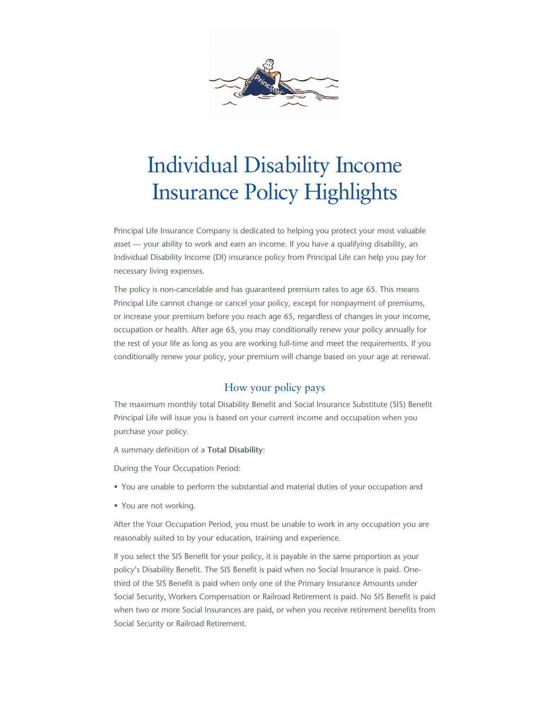

# Individual Disability Income Insurance Policy Highlights

Principal Life Insurance Company is dedicated to helping you protect your most valuable asset — your ability to work and earn an income. If you have a qualifying disability, an Individual Disability Income (DI) insurance policy from Principal Life can help you pay for necessary living expenses.

The policy is non-cancelable and has guaranteed premium rates to age 65. This means Principal Life cannot change or cancel your policy, except for nonpayment of premiums, or increase your premium before you reach age 65, regardless of changes in your income, occupation or health. After age 65, you may conditionally renew your policy annually for the rest of your life as long as you are working full-time and meet the requirements. If you conditionally renew your policy, your premium will change based on your age at renewal.

### How your policy pays

The maximum monthly total Disability Benefit and Social Insurance Substitute (SIS) Benefit Principal Life will issue you is based on your current income and occupation when you purchase your policy.

A summary definition of a **Total Disability**:

During the Your Occupation Period:

- You are unable to perform the substantial and material duties of your occupation and
- You are not working.

After the Your Occupation Period, you must be unable to work in any occupation you are reasonably suited to by your education, training and experience.

If you select the SIS Benefit for your policy, it is payable in the same proportion as your policy's Disability Benefit. The SIS Benefit is paid when no Social Insurance is paid. Onethird of the SIS Benefit is paid when only one of the Primary Insurance Amounts under Social Security, Workers Compensation or Railroad Retirement is paid. No SIS Benefit is paid when two or more Social Insurances are paid, or when you receive retirement benefits from Social Security or Railroad Retirement.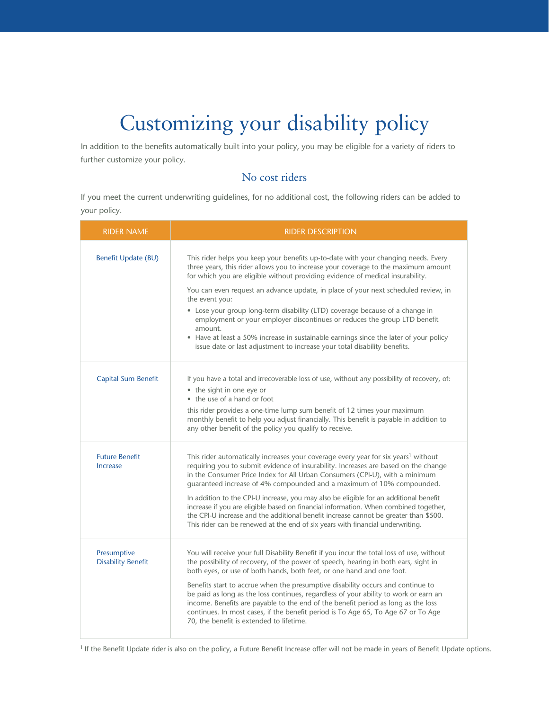# Customizing your disability policy

In addition to the benefits automatically built into your policy, you may be eligible for a variety of riders to further customize your policy.

## No cost riders

If you meet the current underwriting guidelines, for no additional cost, the following riders can be added to your policy.

| <b>RIDER NAME</b>                        | <b>RIDER DESCRIPTION</b>                                                                                                                                                                                                                                                                                                                                                                                                                                                                                                                                                                                                                                                                                         |
|------------------------------------------|------------------------------------------------------------------------------------------------------------------------------------------------------------------------------------------------------------------------------------------------------------------------------------------------------------------------------------------------------------------------------------------------------------------------------------------------------------------------------------------------------------------------------------------------------------------------------------------------------------------------------------------------------------------------------------------------------------------|
| <b>Benefit Update (BU)</b>               | This rider helps you keep your benefits up-to-date with your changing needs. Every<br>three years, this rider allows you to increase your coverage to the maximum amount<br>for which you are eligible without providing evidence of medical insurability.<br>You can even request an advance update, in place of your next scheduled review, in<br>the event you:<br>• Lose your group long-term disability (LTD) coverage because of a change in<br>employment or your employer discontinues or reduces the group LTD benefit<br>amount.<br>• Have at least a 50% increase in sustainable earnings since the later of your policy<br>issue date or last adjustment to increase your total disability benefits. |
| Capital Sum Benefit                      | If you have a total and irrecoverable loss of use, without any possibility of recovery, of:<br>• the sight in one eye or<br>• the use of a hand or foot<br>this rider provides a one-time lump sum benefit of 12 times your maximum<br>monthly benefit to help you adjust financially. This benefit is payable in addition to<br>any other benefit of the policy you qualify to receive.                                                                                                                                                                                                                                                                                                                         |
| <b>Future Benefit</b><br><b>Increase</b> | This rider automatically increases your coverage every year for six years <sup>1</sup> without<br>requiring you to submit evidence of insurability. Increases are based on the change<br>in the Consumer Price Index for All Urban Consumers (CPI-U), with a minimum<br>guaranteed increase of 4% compounded and a maximum of 10% compounded.<br>In addition to the CPI-U increase, you may also be eligible for an additional benefit<br>increase if you are eligible based on financial information. When combined together,<br>the CPI-U increase and the additional benefit increase cannot be greater than \$500.<br>This rider can be renewed at the end of six years with financial underwriting.         |
| Presumptive<br><b>Disability Benefit</b> | You will receive your full Disability Benefit if you incur the total loss of use, without<br>the possibility of recovery, of the power of speech, hearing in both ears, sight in<br>both eyes, or use of both hands, both feet, or one hand and one foot.<br>Benefits start to accrue when the presumptive disability occurs and continue to<br>be paid as long as the loss continues, regardless of your ability to work or earn an<br>income. Benefits are payable to the end of the benefit period as long as the loss<br>continues. In most cases, if the benefit period is To Age 65, To Age 67 or To Age<br>70, the benefit is extended to lifetime.                                                       |

<sup>1</sup> If the Benefit Update rider is also on the policy, a Future Benefit Increase offer will not be made in years of Benefit Update options.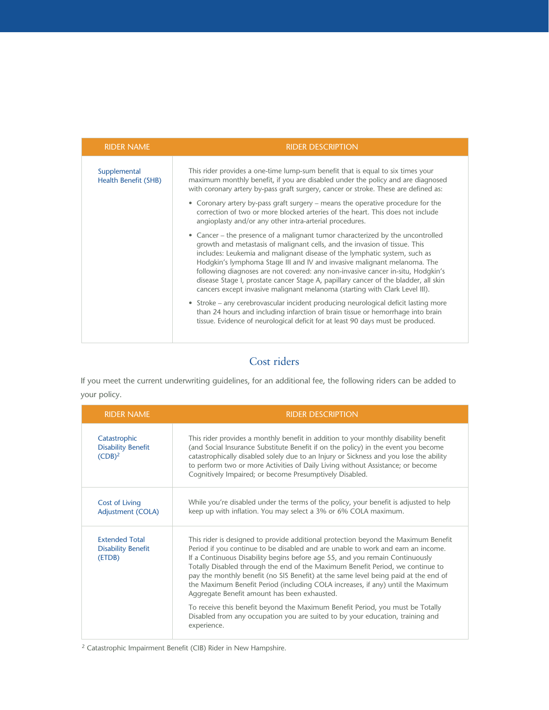| <b>RIDER NAME</b>                           | <b>RIDER DESCRIPTION</b>                                                                                                                                                                                                                                                                                                                                                                                                                                                                                                                                                       |
|---------------------------------------------|--------------------------------------------------------------------------------------------------------------------------------------------------------------------------------------------------------------------------------------------------------------------------------------------------------------------------------------------------------------------------------------------------------------------------------------------------------------------------------------------------------------------------------------------------------------------------------|
| Supplemental<br><b>Health Benefit (SHB)</b> | This rider provides a one-time lump-sum benefit that is equal to six times your<br>maximum monthly benefit, if you are disabled under the policy and are diagnosed<br>with coronary artery by-pass graft surgery, cancer or stroke. These are defined as:                                                                                                                                                                                                                                                                                                                      |
|                                             | • Coronary artery by-pass graft surgery - means the operative procedure for the<br>correction of two or more blocked arteries of the heart. This does not include<br>angioplasty and/or any other intra-arterial procedures.                                                                                                                                                                                                                                                                                                                                                   |
|                                             | • Cancer – the presence of a malignant tumor characterized by the uncontrolled<br>growth and metastasis of malignant cells, and the invasion of tissue. This<br>includes: Leukemia and malignant disease of the lymphatic system, such as<br>Hodgkin's lymphoma Stage III and IV and invasive malignant melanoma. The<br>following diagnoses are not covered: any non-invasive cancer in-situ, Hodgkin's<br>disease Stage I, prostate cancer Stage A, papillary cancer of the bladder, all skin<br>cancers except invasive malignant melanoma (starting with Clark Level III). |
|                                             | • Stroke – any cerebrovascular incident producing neurological deficit lasting more<br>than 24 hours and including infarction of brain tissue or hemorrhage into brain<br>tissue. Evidence of neurological deficit for at least 90 days must be produced.                                                                                                                                                                                                                                                                                                                      |

## Cost riders

If you meet the current underwriting guidelines, for an additional fee, the following riders can be added to your policy.

| <b>RIDER NAME</b>                                            | <b>RIDER DESCRIPTION</b>                                                                                                                                                                                                                                                                                                                                                                                                                                                                                                                                                                                                                                                                                                                              |
|--------------------------------------------------------------|-------------------------------------------------------------------------------------------------------------------------------------------------------------------------------------------------------------------------------------------------------------------------------------------------------------------------------------------------------------------------------------------------------------------------------------------------------------------------------------------------------------------------------------------------------------------------------------------------------------------------------------------------------------------------------------------------------------------------------------------------------|
| Catastrophic<br><b>Disability Benefit</b><br>$(CDB)^2$       | This rider provides a monthly benefit in addition to your monthly disability benefit<br>(and Social Insurance Substitute Benefit if on the policy) in the event you become<br>catastrophically disabled solely due to an Injury or Sickness and you lose the ability<br>to perform two or more Activities of Daily Living without Assistance; or become<br>Cognitively Impaired; or become Presumptively Disabled.                                                                                                                                                                                                                                                                                                                                    |
| <b>Cost of Living</b><br>Adjustment (COLA)                   | While you're disabled under the terms of the policy, your benefit is adjusted to help<br>keep up with inflation. You may select a 3% or 6% COLA maximum.                                                                                                                                                                                                                                                                                                                                                                                                                                                                                                                                                                                              |
| <b>Extended Total</b><br><b>Disability Benefit</b><br>(ETDB) | This rider is designed to provide additional protection beyond the Maximum Benefit<br>Period if you continue to be disabled and are unable to work and earn an income.<br>If a Continuous Disability begins before age 55, and you remain Continuously<br>Totally Disabled through the end of the Maximum Benefit Period, we continue to<br>pay the monthly benefit (no SIS Benefit) at the same level being paid at the end of<br>the Maximum Benefit Period (including COLA increases, if any) until the Maximum<br>Aggregate Benefit amount has been exhausted.<br>To receive this benefit beyond the Maximum Benefit Period, you must be Totally<br>Disabled from any occupation you are suited to by your education, training and<br>experience. |

2 Catastrophic Impairment Benefit (CIB) Rider in New Hampshire.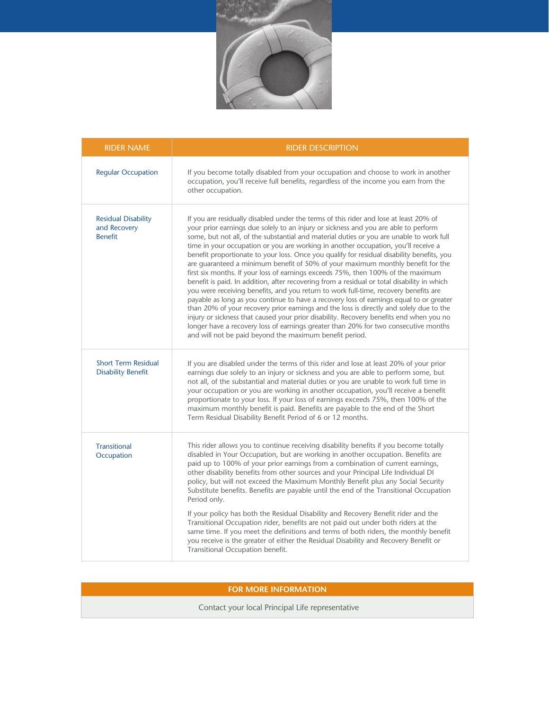

| <b>RIDER NAME</b>                                            | <b>RIDER DESCRIPTION</b>                                                                                                                                                                                                                                                                                                                                                                                                                                                                                                                                                                                                                                                                                                                                                                                                                                                                                                                                                                                                                                                                                                                                                                                                                                      |
|--------------------------------------------------------------|---------------------------------------------------------------------------------------------------------------------------------------------------------------------------------------------------------------------------------------------------------------------------------------------------------------------------------------------------------------------------------------------------------------------------------------------------------------------------------------------------------------------------------------------------------------------------------------------------------------------------------------------------------------------------------------------------------------------------------------------------------------------------------------------------------------------------------------------------------------------------------------------------------------------------------------------------------------------------------------------------------------------------------------------------------------------------------------------------------------------------------------------------------------------------------------------------------------------------------------------------------------|
| <b>Regular Occupation</b>                                    | If you become totally disabled from your occupation and choose to work in another<br>occupation, you'll receive full benefits, regardless of the income you earn from the<br>other occupation.                                                                                                                                                                                                                                                                                                                                                                                                                                                                                                                                                                                                                                                                                                                                                                                                                                                                                                                                                                                                                                                                |
| <b>Residual Disability</b><br>and Recovery<br><b>Benefit</b> | If you are residually disabled under the terms of this rider and lose at least 20% of<br>your prior earnings due solely to an injury or sickness and you are able to perform<br>some, but not all, of the substantial and material duties or you are unable to work full<br>time in your occupation or you are working in another occupation, you'll receive a<br>benefit proportionate to your loss. Once you qualify for residual disability benefits, you<br>are guaranteed a minimum benefit of 50% of your maximum monthly benefit for the<br>first six months. If your loss of earnings exceeds 75%, then 100% of the maximum<br>benefit is paid. In addition, after recovering from a residual or total disability in which<br>you were receiving benefits, and you return to work full-time, recovery benefits are<br>payable as long as you continue to have a recovery loss of earnings equal to or greater<br>than 20% of your recovery prior earnings and the loss is directly and solely due to the<br>injury or sickness that caused your prior disability. Recovery benefits end when you no<br>longer have a recovery loss of earnings greater than 20% for two consecutive months<br>and will not be paid beyond the maximum benefit period. |
| <b>Short Term Residual</b><br><b>Disability Benefit</b>      | If you are disabled under the terms of this rider and lose at least 20% of your prior<br>earnings due solely to an injury or sickness and you are able to perform some, but<br>not all, of the substantial and material duties or you are unable to work full time in<br>your occupation or you are working in another occupation, you'll receive a benefit<br>proportionate to your loss. If your loss of earnings exceeds 75%, then 100% of the<br>maximum monthly benefit is paid. Benefits are payable to the end of the Short<br>Term Residual Disability Benefit Period of 6 or 12 months.                                                                                                                                                                                                                                                                                                                                                                                                                                                                                                                                                                                                                                                              |
| <b>Transitional</b><br>Occupation                            | This rider allows you to continue receiving disability benefits if you become totally<br>disabled in Your Occupation, but are working in another occupation. Benefits are<br>paid up to 100% of your prior earnings from a combination of current earnings,<br>other disability benefits from other sources and your Principal Life Individual DI<br>policy, but will not exceed the Maximum Monthly Benefit plus any Social Security<br>Substitute benefits. Benefits are payable until the end of the Transitional Occupation<br>Period only.                                                                                                                                                                                                                                                                                                                                                                                                                                                                                                                                                                                                                                                                                                               |
|                                                              | If your policy has both the Residual Disability and Recovery Benefit rider and the<br>Transitional Occupation rider, benefits are not paid out under both riders at the<br>same time. If you meet the definitions and terms of both riders, the monthly benefit<br>you receive is the greater of either the Residual Disability and Recovery Benefit or<br>Transitional Occupation benefit.                                                                                                                                                                                                                                                                                                                                                                                                                                                                                                                                                                                                                                                                                                                                                                                                                                                                   |

## **FOR MORE INFORMATION**

Contact your local Principal Life representative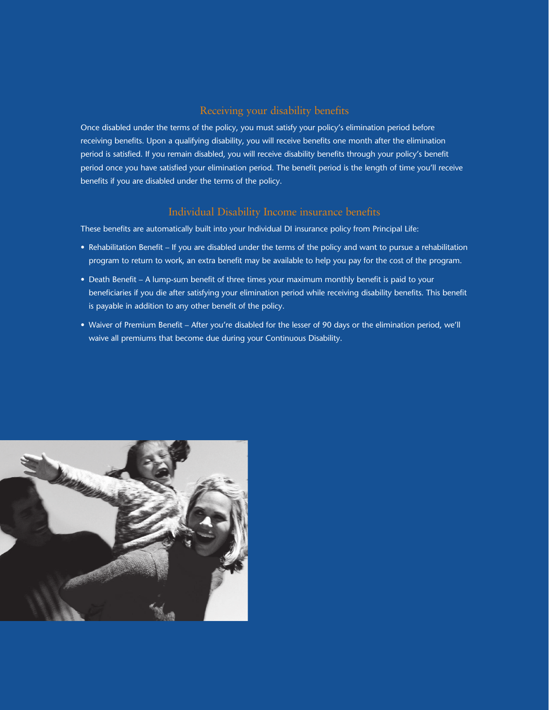### Receiving your disability benefits

Once disabled under the terms of the policy, you must satisfy your policy's elimination period before receiving benefits. Upon a qualifying disability, you will receive benefits one month after the elimination period is satisfied. If you remain disabled, you will receive disability benefits through your policy's benefit period once you have satisfied your elimination period. The benefit period is the length of time you'll receive benefits if you are disabled under the terms of the policy.

### Individual Disability Income insurance benefits

These benefits are automatically built into your Individual DI insurance policy from Principal Life:

- Rehabilitation Benefit If you are disabled under the terms of the policy and want to pursue a rehabilitation program to return to work, an extra benefit may be available to help you pay for the cost of the program.
- Death Benefit A lump-sum benefit of three times your maximum monthly benefit is paid to your beneficiaries if you die after satisfying your elimination period while receiving disability benefits. This benefit is payable in addition to any other benefit of the policy.
- Waiver of Premium Benefit After you're disabled for the lesser of 90 days or the elimination period, we'll waive all premiums that become due during your Continuous Disability.